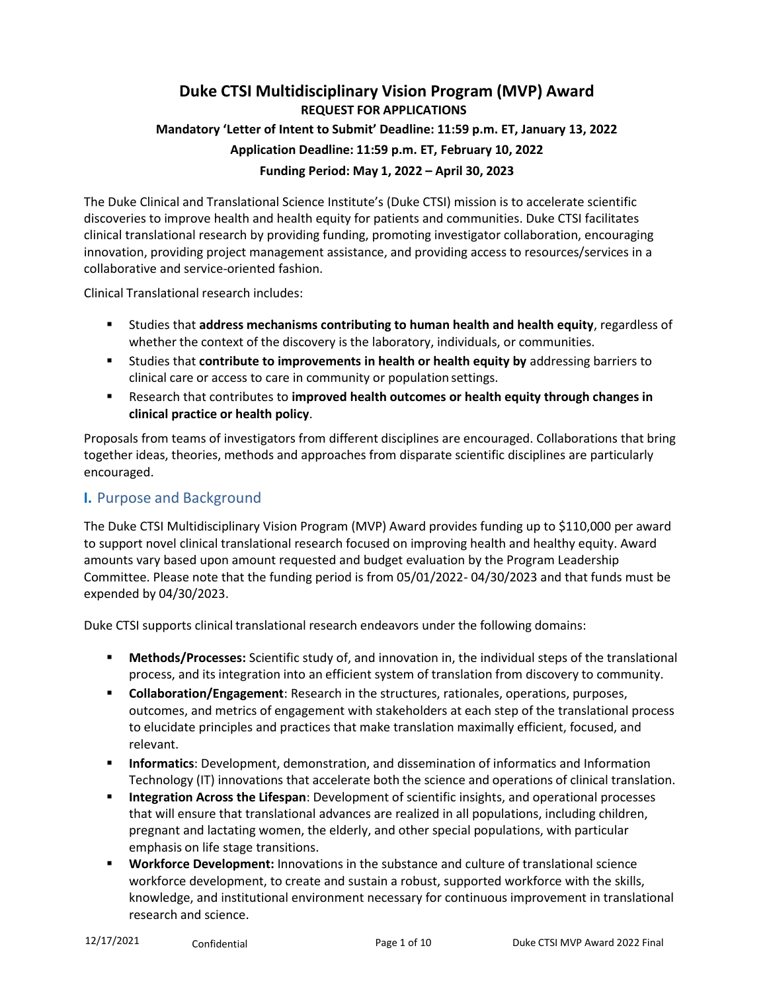# **Duke CTSI Multidisciplinary Vision Program (MVP) Award REQUEST FOR APPLICATIONS Mandatory 'Letter of Intent to Submit' Deadline: 11:59 p.m. ET, January 13, 2022 Application Deadline: 11:59 p.m. ET, February 10, 2022 Funding Period: May 1, 2022 – April 30, 2023**

The Duke Clinical and Translational Science Institute's (Duke CTSI) mission is to accelerate scientific discoveries to improve health and health equity for patients and communities. Duke CTSI facilitates clinical translational research by providing funding, promoting investigator collaboration, encouraging innovation, providing project management assistance, and providing access to resources/services in a collaborative and service-oriented fashion.

Clinical Translational research includes:

- Studies that **address mechanisms contributing to human health and health equity**, regardless of whether the context of the discovery is the laboratory, individuals, or communities.
- Studies that **contribute to improvements in health or health equity by** addressing barriers to clinical care or access to care in community or population settings.
- Research that contributes to **improved health outcomes or health equity through changes in clinical practice or health policy**.

Proposals from teams of investigators from different disciplines are encouraged. Collaborations that bring together ideas, theories, methods and approaches from disparate scientific disciplines are particularly encouraged.

## **I.** Purpose and Background

The Duke CTSI Multidisciplinary Vision Program (MVP) Award provides funding up to \$110,000 per award to support novel clinical translational research focused on improving health and healthy equity. Award amounts vary based upon amount requested and budget evaluation by the Program Leadership Committee. Please note that the funding period is from 05/01/2022- 04/30/2023 and that funds must be expended by 04/30/2023.

Duke CTSI supports clinical translational research endeavors under the following domains:

- **Methods/Processes:** Scientific study of, and innovation in, the individual steps of the translational process, and its integration into an efficient system of translation from discovery to community.
- **Collaboration/Engagement**: Research in the structures, rationales, operations, purposes, outcomes, and metrics of engagement with stakeholders at each step of the translational process to elucidate principles and practices that make translation maximally efficient, focused, and relevant.
- **Informatics**: Development, demonstration, and dissemination of informatics and Information Technology (IT) innovations that accelerate both the science and operations of clinical translation.
- **Integration Across the Lifespan**: Development of scientific insights, and operational processes that will ensure that translational advances are realized in all populations, including children, pregnant and lactating women, the elderly, and other special populations, with particular emphasis on life stage transitions.
- **Workforce Development:** Innovations in the substance and culture of translational science workforce development, to create and sustain a robust, supported workforce with the skills, knowledge, and institutional environment necessary for continuous improvement in translational research and science.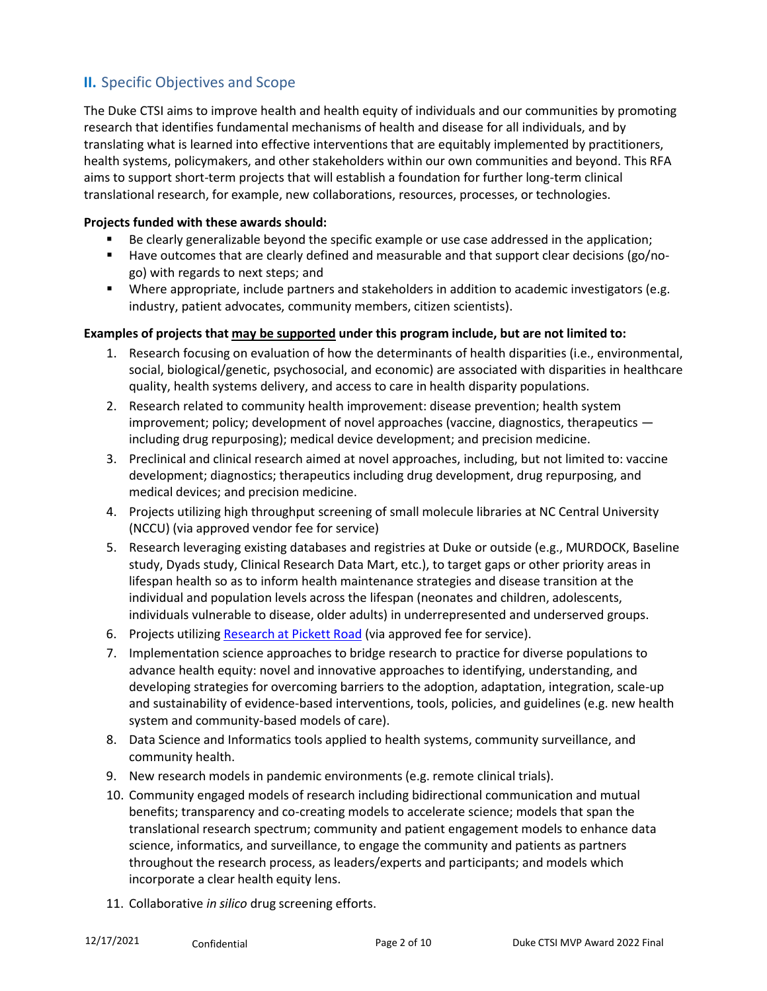# **II.** Specific Objectives and Scope

The Duke CTSI aims to improve health and health equity of individuals and our communities by promoting research that identifies fundamental mechanisms of health and disease for all individuals, and by translating what is learned into effective interventions that are equitably implemented by practitioners, health systems, policymakers, and other stakeholders within our own communities and beyond. This RFA aims to support short-term projects that will establish a foundation for further long-term clinical translational research, for example, new collaborations, resources, processes, or technologies.

### **Projects funded with these awards should:**

- Be clearly generalizable beyond the specific example or use case addressed in the application;
- Have outcomes that are clearly defined and measurable and that support clear decisions (go/nogo) with regards to next steps; and
- Where appropriate, include partners and stakeholders in addition to academic investigators (e.g. industry, patient advocates, community members, citizen scientists).

### **Examples of projects that may be supported under this program include, but are not limited to:**

- 1. Research focusing on evaluation of how the determinants of health disparities (i.e., environmental, social, biological/genetic, psychosocial, and economic) are associated with disparities in healthcare quality, health systems delivery, and access to care in health disparity populations.
- 2. Research related to community health improvement: disease prevention; health system improvement; policy; development of novel approaches (vaccine, diagnostics, therapeutics including drug repurposing); medical device development; and precision medicine.
- 3. Preclinical and clinical research aimed at novel approaches, including, but not limited to: vaccine development; diagnostics; therapeutics including drug development, drug repurposing, and medical devices; and precision medicine.
- 4. Projects utilizing high throughput screening of small molecule libraries at NC Central University (NCCU) (via approved vendor fee for service)
- 5. Research leveraging existing databases and registries at Duke or outside (e.g., MURDOCK, Baseline study, Dyads study, Clinical Research Data Mart, etc.), to target gaps or other priority areas in lifespan health so as to inform health maintenance strategies and disease transition at the individual and population levels across the lifespan (neonates and children, adolescents, individuals vulnerable to disease, older adults) in underrepresented and underserved groups.
- 6. Projects utilizing [Research](https://medschool.duke.edu/research/research-support/research-support-offices/duke-office-clinical-research-docr/research) at Pickett Road (via approved fee for service).
- 7. Implementation science approaches to bridge research to practice for diverse populations to advance health equity: novel and innovative approaches to identifying, understanding, and developing strategies for overcoming barriers to the adoption, adaptation, integration, scale-up and sustainability of evidence-based interventions, tools, policies, and guidelines (e.g. new health system and community-based models of care).
- 8. Data Science and Informatics tools applied to health systems, community surveillance, and community health.
- 9. New research models in pandemic environments (e.g. remote clinical trials).
- 10. Community engaged models of research including bidirectional communication and mutual benefits; transparency and co-creating models to accelerate science; models that span the translational research spectrum; community and patient engagement models to enhance data science, informatics, and surveillance, to engage the community and patients as partners throughout the research process, as leaders/experts and participants; and models which incorporate a clear health equity lens.
- 11. Collaborative *in silico* drug screening efforts.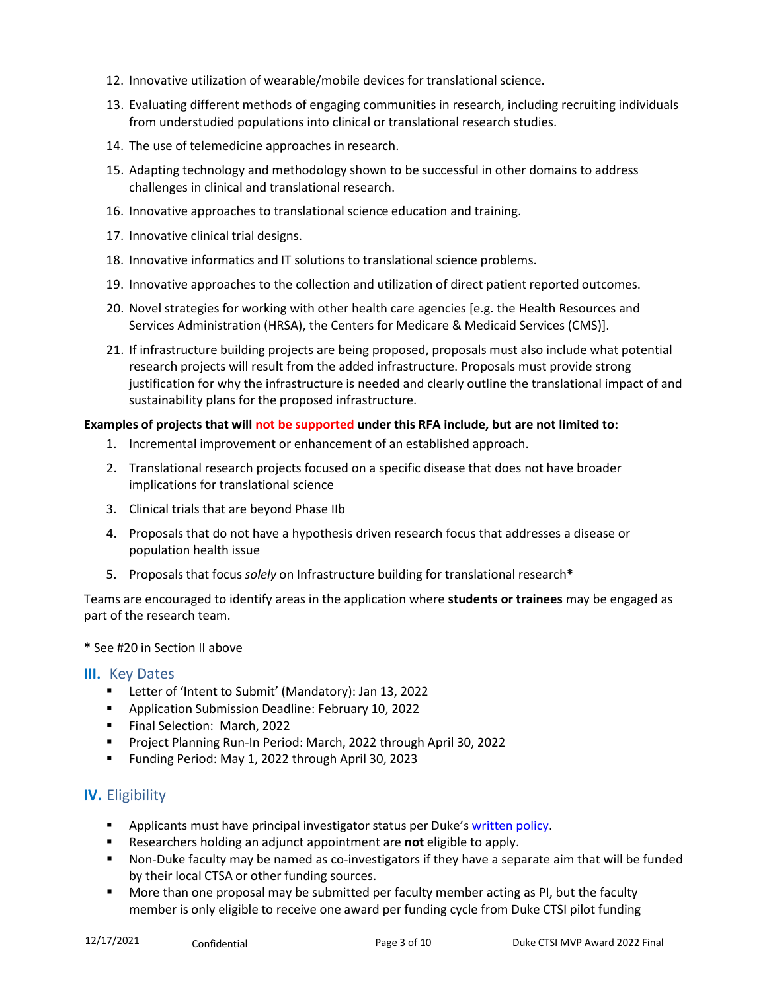- 12. Innovative utilization of wearable/mobile devices for translational science.
- 13. Evaluating different methods of engaging communities in research, including recruiting individuals from understudied populations into clinical or translational research studies.
- 14. The use of telemedicine approaches in research.
- 15. Adapting technology and methodology shown to be successful in other domains to address challenges in clinical and translational research.
- 16. Innovative approaches to translational science education and training.
- 17. Innovative clinical trial designs.
- 18. Innovative informatics and IT solutions to translational science problems.
- 19. Innovative approaches to the collection and utilization of direct patient reported outcomes.
- 20. Novel strategies for working with other health care agencies [e.g. the Health Resources and Services Administration (HRSA), the Centers for Medicare & Medicaid Services (CMS)].
- 21. If infrastructure building projects are being proposed, proposals must also include what potential research projects will result from the added infrastructure. Proposals must provide strong justification for why the infrastructure is needed and clearly outline the translational impact of and sustainability plans for the proposed infrastructure.

### **Examples of projects that will not be supported under this RFA include, but are not limited to:**

- 1. Incremental improvement or enhancement of an established approach.
- 2. Translational research projects focused on a specific disease that does not have broader implications for translational science
- 3. Clinical trials that are beyond Phase IIb
- 4. Proposals that do not have a hypothesis driven research focus that addresses a disease or population health issue
- 5. Proposals that focus *solely* on Infrastructure building for translational research**\***

Teams are encouraged to identify areas in the application where **students or trainees** may be engaged as part of the research team.

#### **\*** See #20 in Section II above

### **III.** Key Dates

- Letter of 'Intent to Submit' (Mandatory): Jan 13, 2022
- **Application Submission Deadline: February 10, 2022**
- Final Selection: March, 2022
- **Project Planning Run-In Period: March, 2022 through April 30, 2022**
- Funding Period: May 1, 2022 through April 30, 2023

## **IV.** Eligibility

- Applicants must have principal investigator status per Duke's [written](https://myresearchpath.duke.edu/procedure-requesting-eligibility-serve-principal-investigator) policy.
- Researchers holding an adjunct appointment are **not** eligible to apply.
- Non-Duke faculty may be named as co-investigators if they have a separate aim that will be funded by their local CTSA or other funding sources.
- More than one proposal may be submitted per faculty member acting as PI, but the faculty member is only eligible to receive one award per funding cycle from Duke CTSI pilot funding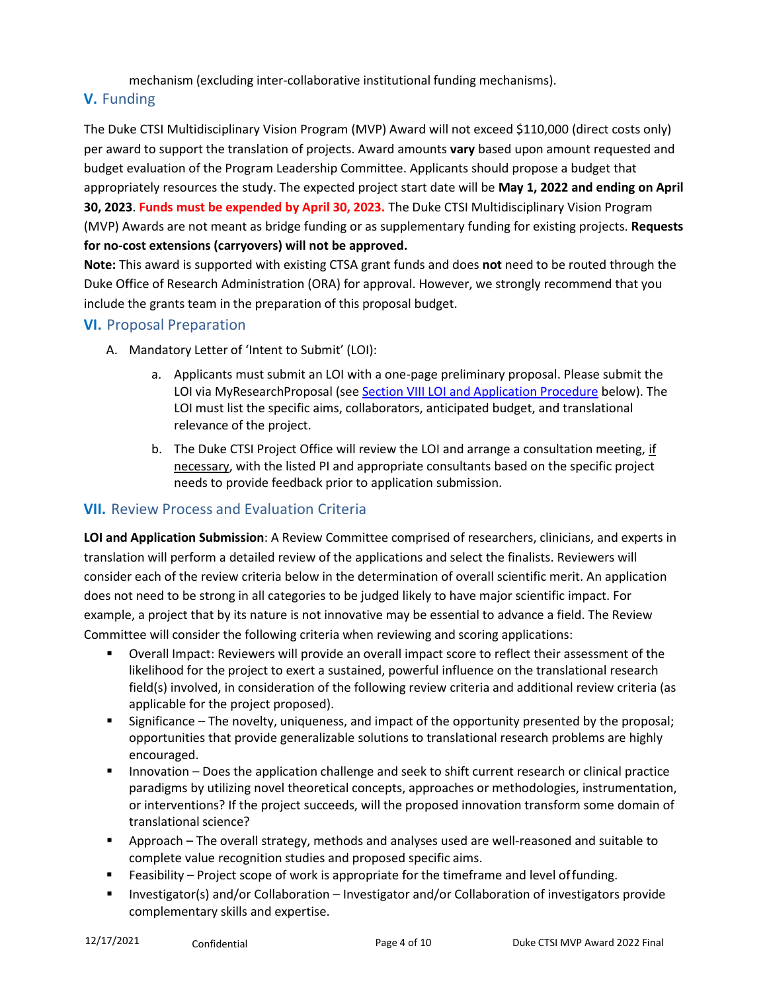mechanism (excluding inter-collaborative institutional funding mechanisms).

# **V.** Funding

The Duke CTSI Multidisciplinary Vision Program (MVP) Award will not exceed \$110,000 (direct costs only) per award to support the translation of projects. Award amounts **vary** based upon amount requested and budget evaluation of the Program Leadership Committee. Applicants should propose a budget that appropriately resources the study. The expected project start date will be **May 1, 2022 and ending on April 30, 2023**. **Funds must be expended by April 30, 2023.** The Duke CTSI Multidisciplinary Vision Program (MVP) Awards are not meant as bridge funding or as supplementary funding for existing projects. **Requests for no-cost extensions (carryovers) will not be approved.**

**Note:** This award is supported with existing CTSA grant funds and does **not** need to be routed through the Duke Office of Research Administration (ORA) for approval. However, we strongly recommend that you include the grants team in the preparation of this proposal budget.

## **VI.** Proposal Preparation

- A. Mandatory Letter of 'Intent to Submit' (LOI):
	- a. Applicants must submit an LOI with a one-page preliminary proposal. Please submit the LOI via MyResearchProposal (see [Section VIII LOI and Application Procedure](#page-4-0) below). The LOI must list the specific aims, collaborators, anticipated budget, and translational relevance of the project.
	- b. The Duke CTSI Project Office will review the LOI and arrange a consultation meeting, if necessary, with the listed PI and appropriate consultants based on the specific project needs to provide feedback prior to application submission.

# **VII.** Review Process and Evaluation Criteria

**LOI and Application Submission**: A Review Committee comprised of researchers, clinicians, and experts in translation will perform a detailed review of the applications and select the finalists. Reviewers will consider each of the review criteria below in the determination of overall scientific merit. An application does not need to be strong in all categories to be judged likely to have major scientific impact. For example, a project that by its nature is not innovative may be essential to advance a field. The Review Committee will consider the following criteria when reviewing and scoring applications:

- Overall Impact: Reviewers will provide an overall impact score to reflect their assessment of the likelihood for the project to exert a sustained, powerful influence on the translational research field(s) involved, in consideration of the following review criteria and additional review criteria (as applicable for the project proposed).
- Significance The novelty, uniqueness, and impact of the opportunity presented by the proposal; opportunities that provide generalizable solutions to translational research problems are highly encouraged.
- **Innovation Does the application challenge and seek to shift current research or clinical practice** paradigms by utilizing novel theoretical concepts, approaches or methodologies, instrumentation, or interventions? If the project succeeds, will the proposed innovation transform some domain of translational science?
- Approach The overall strategy, methods and analyses used are well-reasoned and suitable to complete value recognition studies and proposed specific aims.
- Feasibility Project scope of work is appropriate for the timeframe and level offunding.
- **Investigator(s) and/or Collaboration Investigator and/or Collaboration of investigators provide** complementary skills and expertise.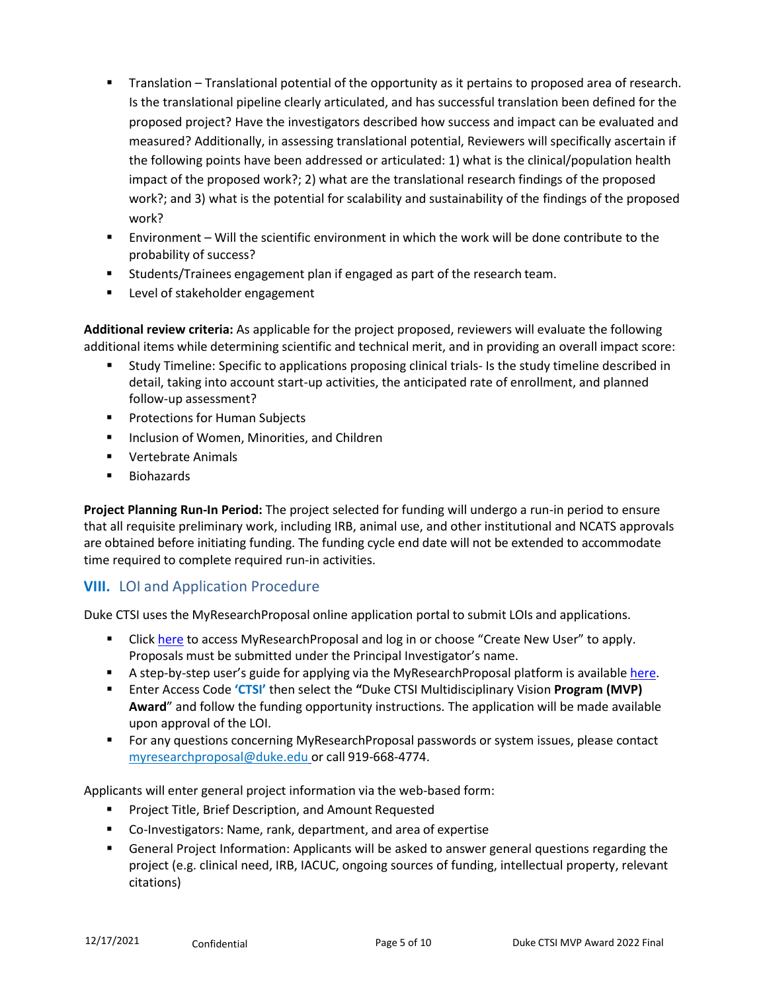- Translation Translational potential of the opportunity as it pertains to proposed area of research. Is the translational pipeline clearly articulated, and has successful translation been defined for the proposed project? Have the investigators described how success and impact can be evaluated and measured? Additionally, in assessing translational potential, Reviewers will specifically ascertain if the following points have been addressed or articulated: 1) what is the clinical/population health impact of the proposed work?; 2) what are the translational research findings of the proposed work?; and 3) what is the potential for scalability and sustainability of the findings of the proposed work?
- Environment Will the scientific environment in which the work will be done contribute to the probability of success?
- Students/Trainees engagement plan if engaged as part of the research team.
- Level of stakeholder engagement

**Additional review criteria:** As applicable for the project proposed, reviewers will evaluate the following additional items while determining scientific and technical merit, and in providing an overall impact score:

- Study Timeline: Specific to applications proposing clinical trials- Is the study timeline described in detail, taking into account start-up activities, the anticipated rate of enrollment, and planned follow-up assessment?
- **Protections for Human Subjects**
- **Inclusion of Women, Minorities, and Children**
- **Vertebrate Animals**
- Biohazards

**Project Planning Run-In Period:** The project selected for funding will undergo a run-in period to ensure that all requisite preliminary work, including IRB, animal use, and other institutional and NCATS approvals are obtained before initiating funding. The funding cycle end date will not be extended to accommodate time required to complete required run-in activities.

## <span id="page-4-0"></span>**VIII.** LOI and Application Procedure

Duke CTSI uses the MyResearchProposal online application portal to submit LOIs and applications.

- **EXECT** Click [here](https://www.grantinterface.com/duke/Common/LogOn.aspx) to access MyResearchProposal and log in or choose "Create New User" to apply. Proposals must be submitted under the Principal Investigator's name.
- A step-by-step user's guide for applying via the MyResearchProposal platform is available [here.](https://ctsi.duke.edu/sites/default/files/2022-01/MRP_Application%20Instructions_rev%202021.02.08.pdf)
- Enter Access Code **'CTSI'** then select the **"**Duke CTSI Multidisciplinary Vision **Program (MVP) Award**" and follow the funding opportunity instructions. The application will be made available upon approval of the LOI.
- For any questions concerning MyResearchProposal passwords or system issues, please contact [myresearchproposal@duke.edu](mailto:myresearchproposal@duke.edu) or call 919-668-4774.

Applicants will enter general project information via the web-based form:

- Project Title, Brief Description, and Amount Requested
- Co-Investigators: Name, rank, department, and area of expertise
- General Project Information: Applicants will be asked to answer general questions regarding the project (e.g. clinical need, IRB, IACUC, ongoing sources of funding, intellectual property, relevant citations)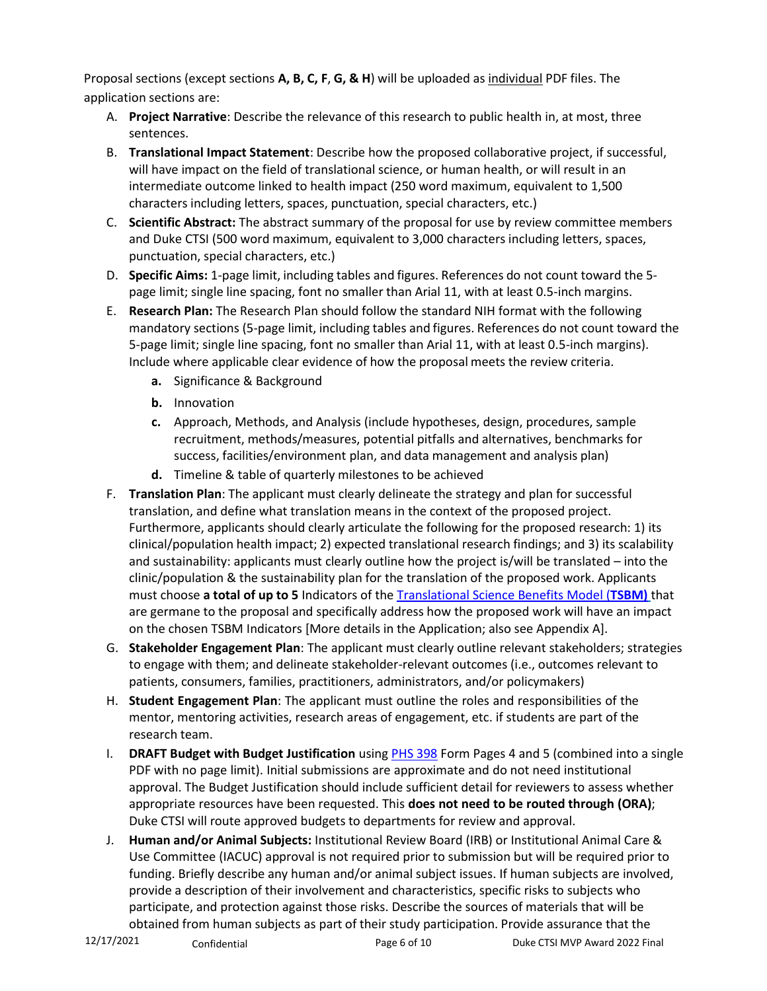Proposal sections (except sections **A, B, C, F**, **G, & H**) will be uploaded as individual PDF files. The application sections are:

- A. **Project Narrative**: Describe the relevance of this research to public health in, at most, three sentences.
- B. **Translational Impact Statement**: Describe how the proposed collaborative project, if successful, will have impact on the field of translational science, or human health, or will result in an intermediate outcome linked to health impact (250 word maximum, equivalent to 1,500 characters including letters, spaces, punctuation, special characters, etc.)
- C. **Scientific Abstract:** The abstract summary of the proposal for use by review committee members and Duke CTSI (500 word maximum, equivalent to 3,000 characters including letters, spaces, punctuation, special characters, etc.)
- D. **Specific Aims:** 1-page limit, including tables and figures. References do not count toward the 5 page limit; single line spacing, font no smaller than Arial 11, with at least 0.5-inch margins.
- E. **Research Plan:** The Research Plan should follow the standard NIH format with the following mandatory sections (5-page limit, including tables and figures. References do not count toward the 5-page limit; single line spacing, font no smaller than Arial 11, with at least 0.5-inch margins). Include where applicable clear evidence of how the proposal meets the review criteria.
	- **a.** Significance & Background
	- **b.** Innovation
	- **c.** Approach, Methods, and Analysis (include hypotheses, design, procedures, sample recruitment, methods/measures, potential pitfalls and alternatives, benchmarks for success, facilities/environment plan, and data management and analysis plan)
	- **d.** Timeline & table of quarterly milestones to be achieved
- F. **Translation Plan**: The applicant must clearly delineate the strategy and plan for successful translation, and define what translation means in the context of the proposed project. Furthermore, applicants should clearly articulate the following for the proposed research: 1) its clinical/population health impact; 2) expected translational research findings; and 3) its scalability and sustainability: applicants must clearly outline how the project is/will be translated – into the clinic/population & the sustainability plan for the translation of the proposed work. Applicants must choose **a total of up to 5** Indicators of the [Translational Science Benefits Model \(](https://translationalsciencebenefits.wustl.edu/about-the-model-2/)**TSBM)** that are germane to the proposal and specifically address how the proposed work will have an impact on the chosen TSBM Indicators [More details in the Application; also see Appendix A].
- G. **Stakeholder Engagement Plan**: The applicant must clearly outline relevant stakeholders; strategies to engage with them; and delineate stakeholder-relevant outcomes (i.e., outcomes relevant to patients, consumers, families, practitioners, administrators, and/or policymakers)
- H. **Student Engagement Plan**: The applicant must outline the roles and responsibilities of the mentor, mentoring activities, research areas of engagement, etc. if students are part of the research team.
- I. **DRAFT Budget with Budget Justification** using [PHS 398](https://grants.nih.gov/grants/funding/phs398/phs398.html) Form Pages 4 and 5 (combined into a single PDF with no page limit). Initial submissions are approximate and do not need institutional approval. The Budget Justification should include sufficient detail for reviewers to assess whether appropriate resources have been requested. This **does not need to be routed through (ORA)**; Duke CTSI will route approved budgets to departments for review and approval.
- J. **Human and/or Animal Subjects:** Institutional Review Board (IRB) or Institutional Animal Care & Use Committee (IACUC) approval is not required prior to submission but will be required prior to funding. Briefly describe any human and/or animal subject issues. If human subjects are involved, provide a description of their involvement and characteristics, specific risks to subjects who participate, and protection against those risks. Describe the sources of materials that will be obtained from human subjects as part of their study participation. Provide assurance that the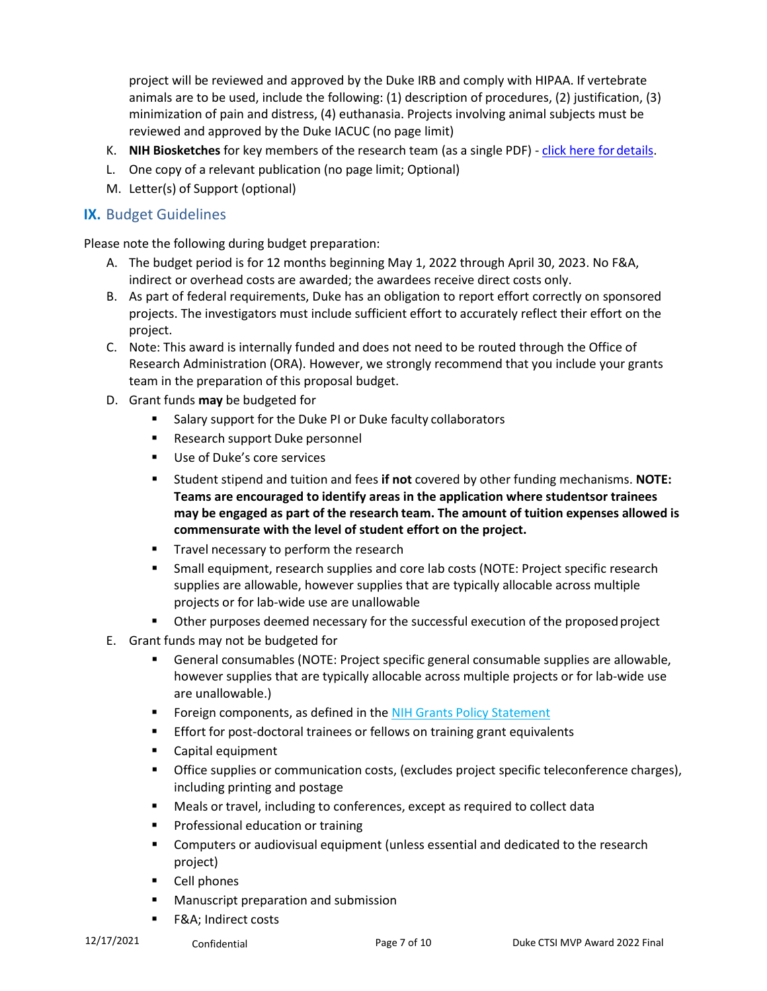project will be reviewed and approved by the Duke IRB and comply with HIPAA. If vertebrate animals are to be used, include the following: (1) description of procedures, (2) justification, (3) minimization of pain and distress, (4) euthanasia. Projects involving animal subjects must be reviewed and approved by the Duke IACUC (no page limit)

- K. **NIH Biosketches** for key members of the research team (as a single PDF) click here [fordetails.](http://grants.nih.gov/grants/forms/biosketch.htm)
- L. One copy of a relevant publication (no page limit; Optional)
- M. Letter(s) of Support (optional)

### **IX.** Budget Guidelines

Please note the following during budget preparation:

- A. The budget period is for 12 months beginning May 1, 2022 through April 30, 2023. No F&A, indirect or overhead costs are awarded; the awardees receive direct costs only.
- B. As part of federal requirements, Duke has an obligation to report effort correctly on sponsored projects. The investigators must include sufficient effort to accurately reflect their effort on the project.
- C. Note: This award is internally funded and does not need to be routed through the Office of Research Administration (ORA). However, we strongly recommend that you include your grants team in the preparation of this proposal budget.
- D. Grant funds **may** be budgeted for
	- **Salary support for the Duke PI or Duke faculty collaborators**
	- **Research support Duke personnel**
	- **Use of Duke's core services**
	- Student stipend and tuition and fees **if not** covered by other funding mechanisms. **NOTE: Teams are encouraged to identify areas in the application where studentsor trainees may be engaged as part of the research team. The amount of tuition expenses allowed is commensurate with the level of student effort on the project.**
	- Travel necessary to perform the research
	- Small equipment, research supplies and core lab costs (NOTE: Project specific research supplies are allowable, however supplies that are typically allocable across multiple projects or for lab-wide use are unallowable
	- Other purposes deemed necessary for the successful execution of the proposedproject
- E. Grant funds may not be budgeted for
	- General consumables (NOTE: Project specific general consumable supplies are allowable, however supplies that are typically allocable across multiple projects or for lab-wide use are unallowable.)
	- **Foreign components, as defined in the NIH Grants Policy [Statement](https://www.google.com/url?sa=t&rct=j&q&esrc=s&source=web&cd=2&cad=rja&uact=8&ved=0ahUKEwiyo_DotoHVAhWGSiYKHYf1BXkQjBAILjAB&url=https%3A%2F%2Fgrants.nih.gov%2Fgrants%2Fpolicy%2Fnihgps%2Fnihgps.pdf&usg=AFQjCNGQPgOkNVrQd4OtPS-uxTUsMCALhA)**
	- **Effort for post-doctoral trainees or fellows on training grant equivalents**
	- **EXEC** Capital equipment
	- **Office supplies or communication costs, (excludes project specific teleconference charges),** including printing and postage
	- Meals or travel, including to conferences, except as required to collect data
	- **Professional education or training**
	- Computers or audiovisual equipment (unless essential and dedicated to the research project)
	- **Cell phones**
	- **Manuscript preparation and submission**
	- F&A; Indirect costs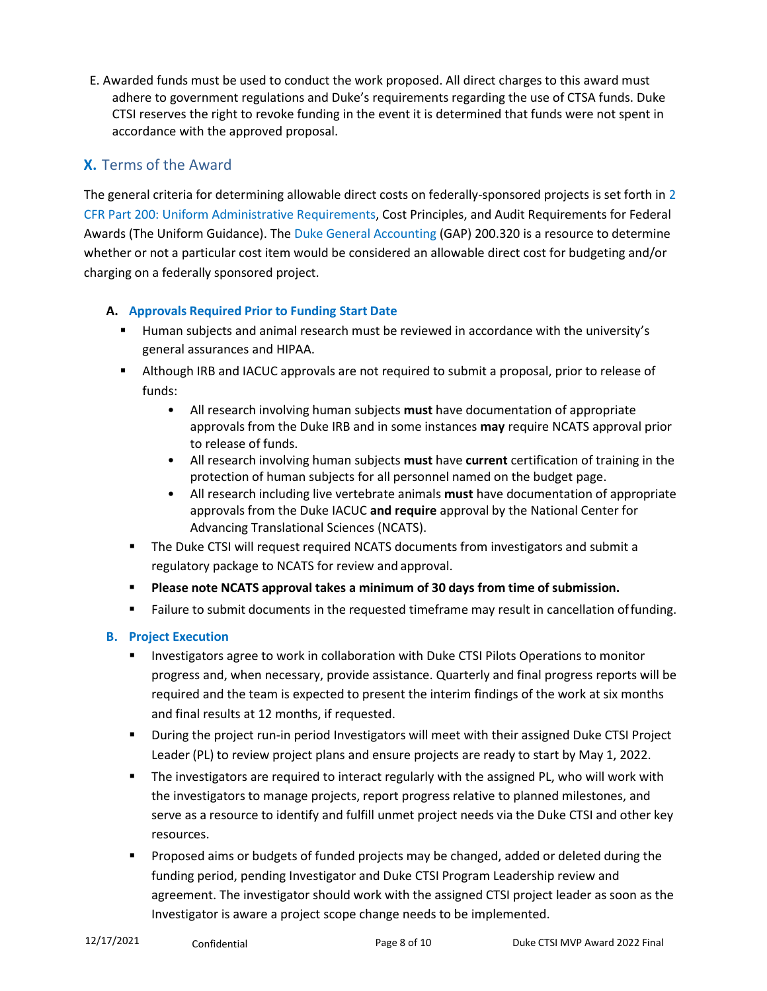E. Awarded funds must be used to conduct the work proposed. All direct charges to this award must adhere to government regulations and Duke's requirements regarding the use of CTSA funds. Duke CTSI reserves the right to revoke funding in the event it is determined that funds were not spent in accordance with the approved proposal.

# **X.** Terms of the Award

The general criteria for determining allowable direct costs on federally-sponsored projects is set forth in [2](https://www.gpo.gov/fdsys/pkg/CFR-2014-title2-vol1/pdf/CFR-2014-title2-vol1-part200.pdf) [CFR Part 200: Uniform Administrative Requirements, C](https://www.gpo.gov/fdsys/pkg/CFR-2014-title2-vol1/pdf/CFR-2014-title2-vol1-part200.pdf)ost Principles, and Audit Requirements for Federal Awards (The Uniform Guidance). The [Duke General Accounting \(](https://finance.duke.edu/accounting/gap/m200-320.php)GAP) 200.320 is a resource to determine whether or not a particular cost item would be considered an allowable direct cost for budgeting and/or charging on a federally sponsored project.

## **A. Approvals Required Prior to Funding Start Date**

- **Human subjects and animal research must be reviewed in accordance with the university's** general assurances and HIPAA.
- Although IRB and IACUC approvals are not required to submit a proposal, prior to release of funds:
	- All research involving human subjects **must** have documentation of appropriate approvals from the Duke IRB and in some instances **may** require NCATS approval prior to release of funds.
	- All research involving human subjects **must** have **current** certification of training in the protection of human subjects for all personnel named on the budget page.
	- All research including live vertebrate animals **must** have documentation of appropriate approvals from the Duke IACUC **and require** approval by the National Center for Advancing Translational Sciences (NCATS).
- The Duke CTSI will request required NCATS documents from investigators and submit a regulatory package to NCATS for review and approval.
- **Please note NCATS approval takes a minimum of 30 days from time of submission.**
- Failure to submit documents in the requested timeframe may result in cancellation offunding.

# **B. Project Execution**

- **Investigators agree to work in collaboration with Duke CTSI Pilots Operations to monitor** progress and, when necessary, provide assistance. Quarterly and final progress reports will be required and the team is expected to present the interim findings of the work at six months and final results at 12 months, if requested.
- During the project run-in period Investigators will meet with their assigned Duke CTSI Project Leader (PL) to review project plans and ensure projects are ready to start by May 1, 2022.
- The investigators are required to interact regularly with the assigned PL, who will work with the investigators to manage projects, report progress relative to planned milestones, and serve as a resource to identify and fulfill unmet project needs via the Duke CTSI and other key resources.
- Proposed aims or budgets of funded projects may be changed, added or deleted during the funding period, pending Investigator and Duke CTSI Program Leadership review and agreement. The investigator should work with the assigned CTSI project leader as soon as the Investigator is aware a project scope change needs to be implemented.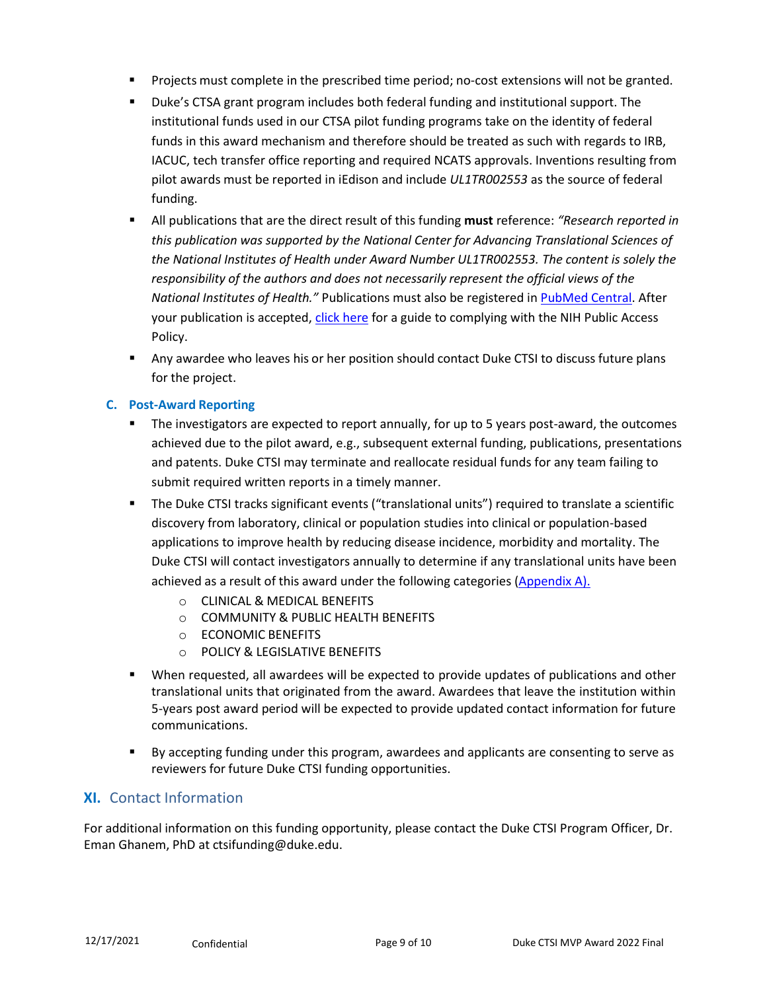- Projects must complete in the prescribed time period; no-cost extensions will not be granted.
- Duke's CTSA grant program includes both federal funding and institutional support. The institutional funds used in our CTSA pilot funding programs take on the identity of federal funds in this award mechanism and therefore should be treated as such with regards to IRB, IACUC, tech transfer office reporting and required NCATS approvals. Inventions resulting from pilot awards must be reported in iEdison and include *UL1TR002553* as the source of federal funding.
- All publications that are the direct result of this funding **must** reference: *"Research reported in this publication was supported by the National Center for Advancing Translational Sciences of the National Institutes of Health under Award Number UL1TR002553. The content is solely the responsibility of the authors and does not necessarily represent the official views of the National Institutes of Health."* Publications must also be registered i[n PubMed Central.](https://www.ncbi.nlm.nih.gov/pmc/articles/PMC6798537/) After your publication is accepted[, click here](https://publicaccess.nih.gov/) for a guide to complying with the NIH Public Access Policy.
- Any awardee who leaves his or her position should contact Duke CTSI to discuss future plans for the project.

### **C. Post-Award Reporting**

- The investigators are expected to report annually, for up to 5 years post-award, the outcomes achieved due to the pilot award, e.g., subsequent external funding, publications, presentations and patents. Duke CTSI may terminate and reallocate residual funds for any team failing to submit required written reports in a timely manner.
- The Duke CTSI tracks significant events ("translational units") required to translate a scientific discovery from laboratory, clinical or population studies into clinical or population-based applications to improve health by reducing disease incidence, morbidity and mortality. The Duke CTSI will contact investigators annually to determine if any translational units have been achieved as a result of this award under the following categories [\(Appendix](#page-9-0) A).
	- o CLINICAL & MEDICAL BENEFITS
	- o COMMUNITY & PUBLIC HEALTH BENEFITS
	- o ECONOMIC BENEFITS
	- o POLICY & LEGISLATIVE BENEFITS
- When requested, all awardees will be expected to provide updates of publications and other translational units that originated from the award. Awardees that leave the institution within 5-years post award period will be expected to provide updated contact information for future communications.
- By accepting funding under this program, awardees and applicants are consenting to serve as reviewers for future Duke CTSI funding opportunities.

### **XI.** Contact Information

For additional information on this funding opportunity, please contact the Duke CTSI Program Officer, Dr. Eman Ghanem, PhD at [ctsifunding@duke.edu.](mailto:ctsifunding@duke.edu)